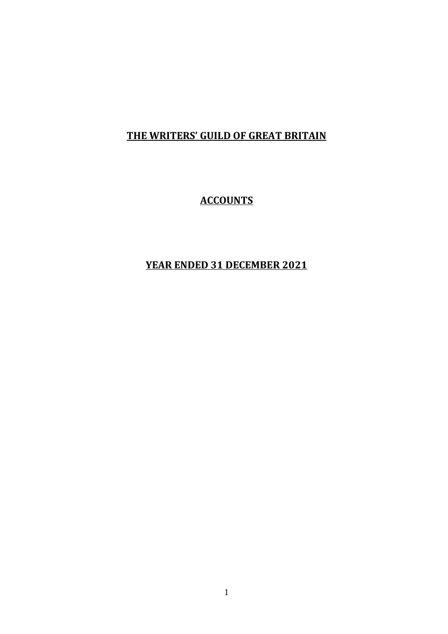# **ACCOUNTS**

# **YEAR ENDED 31 DECEMBER 2021**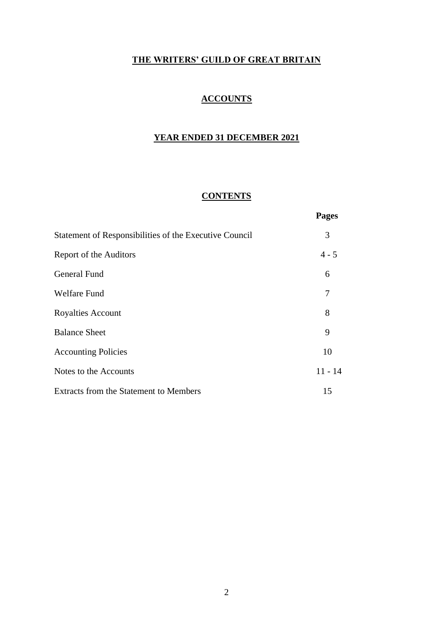# **ACCOUNTS**

# **YEAR ENDED 31 DECEMBER 2021**

# **CONTENTS**

|                                                        | <b>Pages</b> |
|--------------------------------------------------------|--------------|
| Statement of Responsibilities of the Executive Council | 3            |
| Report of the Auditors                                 | $4 - 5$      |
| <b>General Fund</b>                                    | 6            |
| <b>Welfare Fund</b>                                    | 7            |
| <b>Royalties Account</b>                               | 8            |
| <b>Balance Sheet</b>                                   | 9            |
| <b>Accounting Policies</b>                             | 10           |
| Notes to the Accounts                                  | $11 - 14$    |
| Extracts from the Statement to Members                 | 15           |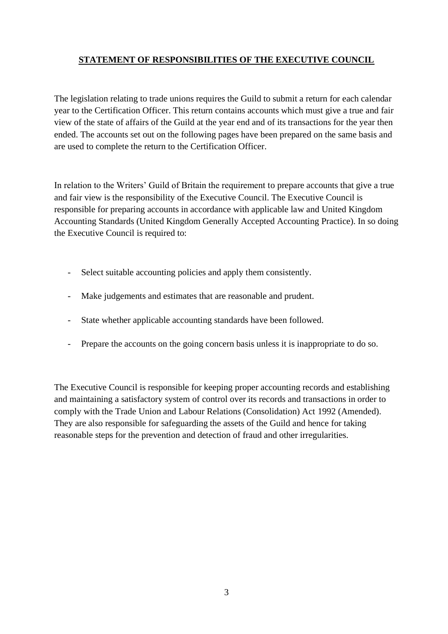# **STATEMENT OF RESPONSIBILITIES OF THE EXECUTIVE COUNCIL**

The legislation relating to trade unions requires the Guild to submit a return for each calendar year to the Certification Officer. This return contains accounts which must give a true and fair view of the state of affairs of the Guild at the year end and of its transactions for the year then ended. The accounts set out on the following pages have been prepared on the same basis and are used to complete the return to the Certification Officer.

In relation to the Writers' Guild of Britain the requirement to prepare accounts that give a true and fair view is the responsibility of the Executive Council. The Executive Council is responsible for preparing accounts in accordance with applicable law and United Kingdom Accounting Standards (United Kingdom Generally Accepted Accounting Practice). In so doing the Executive Council is required to:

- Select suitable accounting policies and apply them consistently.
- Make judgements and estimates that are reasonable and prudent.
- State whether applicable accounting standards have been followed.
- Prepare the accounts on the going concern basis unless it is inappropriate to do so.

The Executive Council is responsible for keeping proper accounting records and establishing and maintaining a satisfactory system of control over its records and transactions in order to comply with the Trade Union and Labour Relations (Consolidation) Act 1992 (Amended). They are also responsible for safeguarding the assets of the Guild and hence for taking reasonable steps for the prevention and detection of fraud and other irregularities.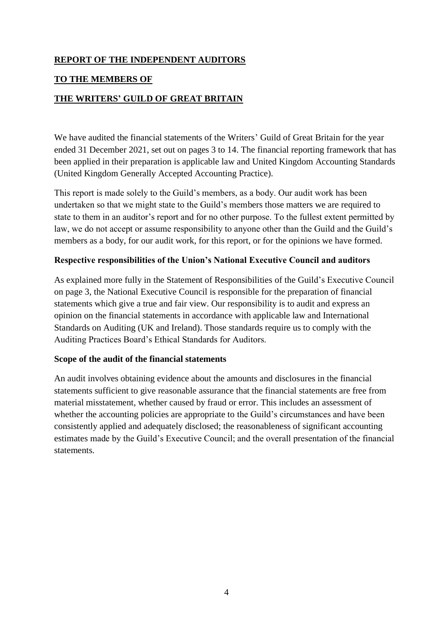## **REPORT OF THE INDEPENDENT AUDITORS**

## **TO THE MEMBERS OF**

## **THE WRITERS' GUILD OF GREAT BRITAIN**

We have audited the financial statements of the Writers' Guild of Great Britain for the year ended 31 December 2021, set out on pages 3 to 14. The financial reporting framework that has been applied in their preparation is applicable law and United Kingdom Accounting Standards (United Kingdom Generally Accepted Accounting Practice).

This report is made solely to the Guild's members, as a body. Our audit work has been undertaken so that we might state to the Guild's members those matters we are required to state to them in an auditor's report and for no other purpose. To the fullest extent permitted by law, we do not accept or assume responsibility to anyone other than the Guild and the Guild's members as a body, for our audit work, for this report, or for the opinions we have formed.

### **Respective responsibilities of the Union's National Executive Council and auditors**

As explained more fully in the Statement of Responsibilities of the Guild's Executive Council on page 3, the National Executive Council is responsible for the preparation of financial statements which give a true and fair view. Our responsibility is to audit and express an opinion on the financial statements in accordance with applicable law and International Standards on Auditing (UK and Ireland). Those standards require us to comply with the Auditing Practices Board's Ethical Standards for Auditors.

#### **Scope of the audit of the financial statements**

An audit involves obtaining evidence about the amounts and disclosures in the financial statements sufficient to give reasonable assurance that the financial statements are free from material misstatement, whether caused by fraud or error. This includes an assessment of whether the accounting policies are appropriate to the Guild's circumstances and have been consistently applied and adequately disclosed; the reasonableness of significant accounting estimates made by the Guild's Executive Council; and the overall presentation of the financial statements.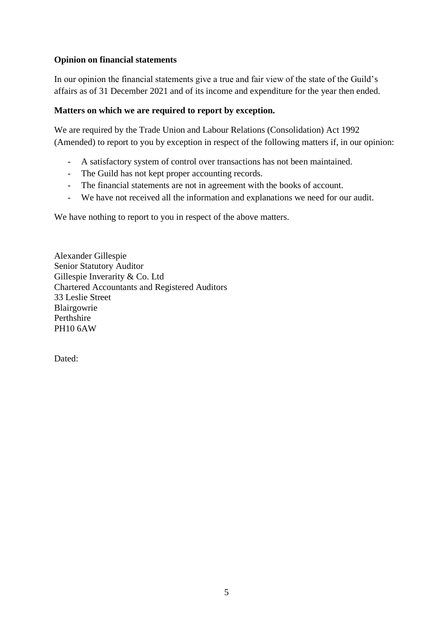## **Opinion on financial statements**

In our opinion the financial statements give a true and fair view of the state of the Guild's affairs as of 31 December 2021 and of its income and expenditure for the year then ended.

## **Matters on which we are required to report by exception.**

We are required by the Trade Union and Labour Relations (Consolidation) Act 1992 (Amended) to report to you by exception in respect of the following matters if, in our opinion:

- A satisfactory system of control over transactions has not been maintained.
- The Guild has not kept proper accounting records.
- The financial statements are not in agreement with the books of account.
- We have not received all the information and explanations we need for our audit.

We have nothing to report to you in respect of the above matters.

Alexander Gillespie Senior Statutory Auditor Gillespie Inverarity & Co. Ltd Chartered Accountants and Registered Auditors 33 Leslie Street Blairgowrie Perthshire PH10 6AW

Dated: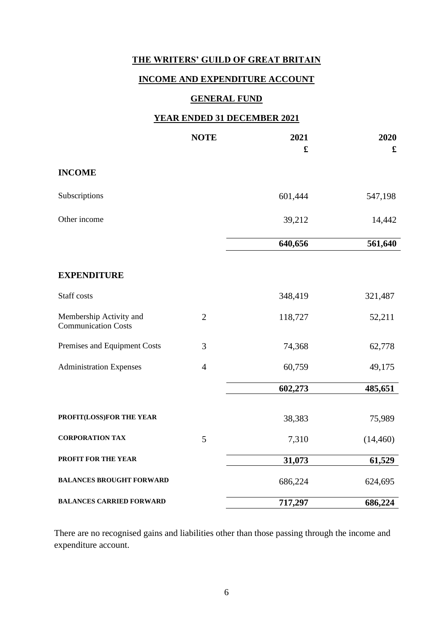# **INCOME AND EXPENDITURE ACCOUNT**

# **GENERAL FUND**

### **YEAR ENDED 31 DECEMBER 2021**

|                                                       | <b>NOTE</b>    | 2021<br>£ | 2020<br>£ |
|-------------------------------------------------------|----------------|-----------|-----------|
|                                                       |                |           |           |
| <b>INCOME</b>                                         |                |           |           |
| Subscriptions                                         |                | 601,444   | 547,198   |
| Other income                                          |                | 39,212    | 14,442    |
|                                                       |                | 640,656   | 561,640   |
| <b>EXPENDITURE</b>                                    |                |           |           |
|                                                       |                |           |           |
| Staff costs                                           |                | 348,419   | 321,487   |
| Membership Activity and<br><b>Communication Costs</b> | $\overline{2}$ | 118,727   | 52,211    |
| Premises and Equipment Costs                          | 3              | 74,368    | 62,778    |
| <b>Administration Expenses</b>                        | $\overline{4}$ | 60,759    | 49,175    |
|                                                       |                | 602,273   | 485,651   |
| PROFIT(LOSS)FOR THE YEAR                              |                | 38,383    | 75,989    |
|                                                       |                |           |           |
| <b>CORPORATION TAX</b>                                | 5              | 7,310     | (14, 460) |
| PROFIT FOR THE YEAR                                   |                | 31,073    | 61,529    |
| <b>BALANCES BROUGHT FORWARD</b>                       |                | 686,224   | 624,695   |
| <b>BALANCES CARRIED FORWARD</b>                       |                | 717,297   | 686,224   |

There are no recognised gains and liabilities other than those passing through the income and expenditure account.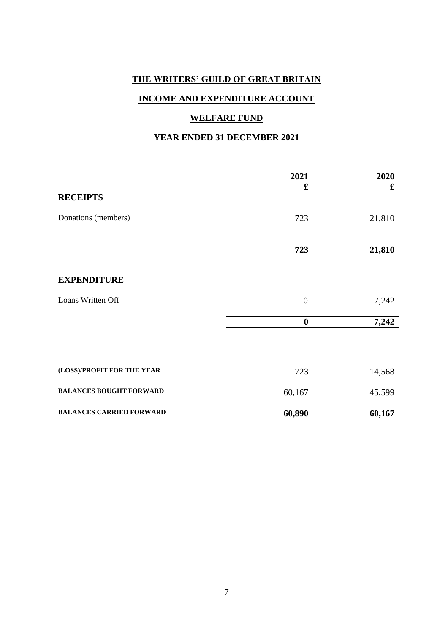# **INCOME AND EXPENDITURE ACCOUNT**

## **WELFARE FUND**

# **YEAR ENDED 31 DECEMBER 2021**

|                                 | 2021             | 2020   |
|---------------------------------|------------------|--------|
| <b>RECEIPTS</b>                 | $\mathbf f$      | £      |
| Donations (members)             | 723              | 21,810 |
|                                 |                  |        |
|                                 | 723              | 21,810 |
|                                 |                  |        |
| <b>EXPENDITURE</b>              |                  |        |
| Loans Written Off               | $\boldsymbol{0}$ | 7,242  |
|                                 | $\boldsymbol{0}$ | 7,242  |
|                                 |                  |        |
| (LOSS)/PROFIT FOR THE YEAR      | 723              | 14,568 |
| <b>BALANCES BOUGHT FORWARD</b>  | 60,167           | 45,599 |
| <b>BALANCES CARRIED FORWARD</b> | 60,890           | 60,167 |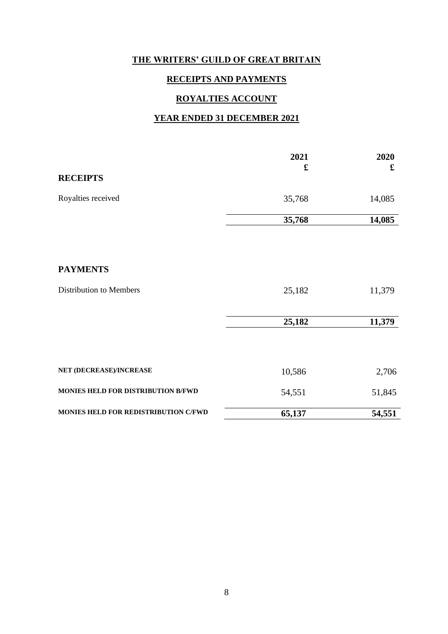## **RECEIPTS AND PAYMENTS**

# **ROYALTIES ACCOUNT**

#### **YEAR ENDED 31 DECEMBER 2021**

|                                      | 2021<br>£ | 2020<br>£ |
|--------------------------------------|-----------|-----------|
| <b>RECEIPTS</b>                      |           |           |
| Royalties received                   | 35,768    | 14,085    |
|                                      | 35,768    | 14,085    |
|                                      |           |           |
| <b>PAYMENTS</b>                      |           |           |
| Distribution to Members              | 25,182    | 11,379    |
|                                      | 25,182    | 11,379    |
|                                      |           |           |
| NET (DECREASE)/INCREASE              | 10,586    | 2,706     |
| MONIES HELD FOR DISTRIBUTION B/FWD   | 54,551    | 51,845    |
| MONIES HELD FOR REDISTRIBUTION C/FWD | 65,137    | 54,551    |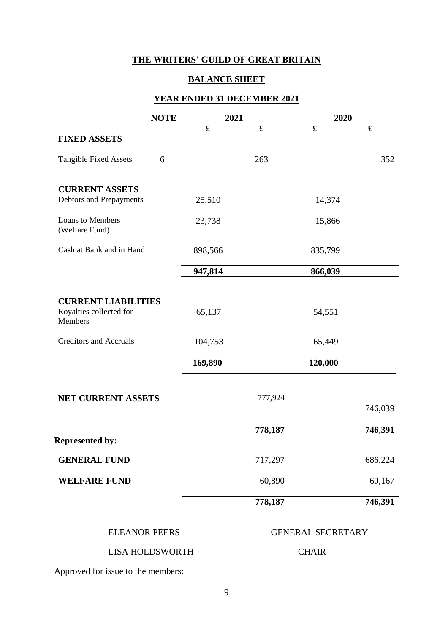# **BALANCE SHEET**

# **YEAR ENDED 31 DECEMBER 2021**

|                                                                  | <b>NOTE</b> | 2021    |             | 2020        |             |
|------------------------------------------------------------------|-------------|---------|-------------|-------------|-------------|
|                                                                  |             | £       | $\mathbf f$ | $\mathbf f$ | $\mathbf f$ |
| <b>FIXED ASSETS</b>                                              |             |         |             |             |             |
| <b>Tangible Fixed Assets</b>                                     | 6           |         | 263         |             | 352         |
| <b>CURRENT ASSETS</b><br>Debtors and Prepayments                 |             | 25,510  |             | 14,374      |             |
| Loans to Members<br>(Welfare Fund)                               |             | 23,738  |             | 15,866      |             |
| Cash at Bank and in Hand                                         |             | 898,566 |             | 835,799     |             |
|                                                                  |             | 947,814 |             | 866,039     |             |
|                                                                  |             |         |             |             |             |
| <b>CURRENT LIABILITIES</b><br>Royalties collected for<br>Members |             | 65,137  |             | 54,551      |             |
| <b>Creditors and Accruals</b>                                    |             | 104,753 |             | 65,449      |             |
|                                                                  |             | 169,890 |             | 120,000     |             |
| <b>NET CURRENT ASSETS</b>                                        |             |         | 777,924     |             | 746,039     |
|                                                                  |             |         |             |             |             |
| <b>Represented by:</b>                                           |             |         | 778,187     |             | 746,391     |
| <b>GENERAL FUND</b>                                              |             |         | 717,297     |             | 686,224     |
| <b>WELFARE FUND</b>                                              |             |         | 60,890      |             | 60,167      |
|                                                                  |             |         | 778,187     |             | 746,391     |
|                                                                  |             |         |             |             |             |

#### ELEANOR PEERS GENERAL SECRETARY

## LISA HOLDSWORTH CHAIR

Approved for issue to the members: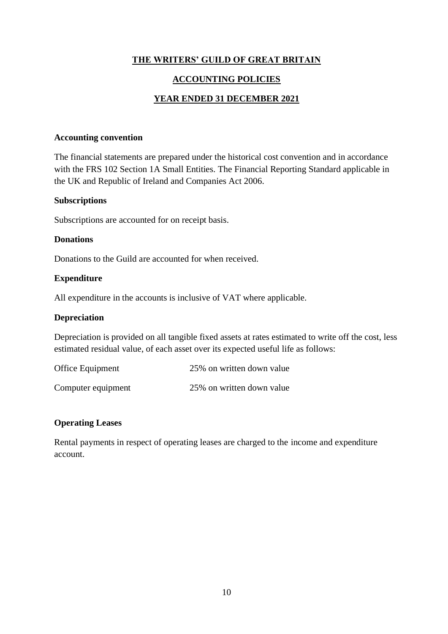## **ACCOUNTING POLICIES**

### **YEAR ENDED 31 DECEMBER 2021**

#### **Accounting convention**

The financial statements are prepared under the historical cost convention and in accordance with the FRS 102 Section 1A Small Entities. The Financial Reporting Standard applicable in the UK and Republic of Ireland and Companies Act 2006.

#### **Subscriptions**

Subscriptions are accounted for on receipt basis.

#### **Donations**

Donations to the Guild are accounted for when received.

#### **Expenditure**

All expenditure in the accounts is inclusive of VAT where applicable.

#### **Depreciation**

Depreciation is provided on all tangible fixed assets at rates estimated to write off the cost, less estimated residual value, of each asset over its expected useful life as follows:

| Office Equipment   | 25% on written down value |
|--------------------|---------------------------|
| Computer equipment | 25% on written down value |

#### **Operating Leases**

Rental payments in respect of operating leases are charged to the income and expenditure account.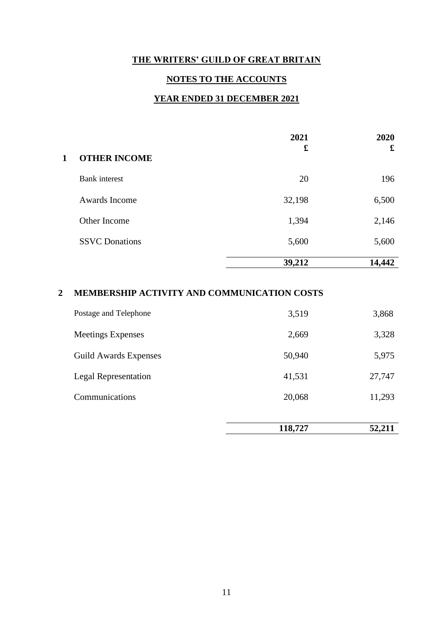## **NOTES TO THE ACCOUNTS**

# **YEAR ENDED 31 DECEMBER 2021**

|   |                       | 2021<br>£ | 2020<br>£ |
|---|-----------------------|-----------|-----------|
| 1 | <b>OTHER INCOME</b>   |           |           |
|   | <b>Bank</b> interest  | 20        | 196       |
|   | Awards Income         | 32,198    | 6,500     |
|   | Other Income          | 1,394     | 2,146     |
|   | <b>SSVC</b> Donations | 5,600     | 5,600     |
|   |                       | 39,212    | 14,442    |

## **2 MEMBERSHIP ACTIVITY AND COMMUNICATION COSTS**

|                          | 118,727 | 52,211 |
|--------------------------|---------|--------|
|                          |         |        |
| Communications           | 20,068  | 11,293 |
| Legal Representation     | 41,531  | 27,747 |
| Guild Awards Expenses    | 50,940  | 5,975  |
| <b>Meetings Expenses</b> | 2,669   | 3,328  |
| Postage and Telephone    | 3,519   | 3,868  |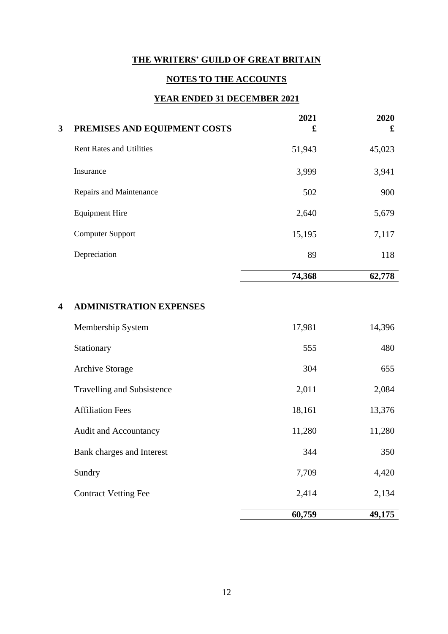# **NOTES TO THE ACCOUNTS**

# **YEAR ENDED 31 DECEMBER 2021**

| 3 | PREMISES AND EQUIPMENT COSTS    | 2021<br>£ | 2020<br>£ |
|---|---------------------------------|-----------|-----------|
|   | <b>Rent Rates and Utilities</b> | 51,943    | 45,023    |
|   | Insurance                       | 3,999     | 3,941     |
|   | Repairs and Maintenance         | 502       | 900       |
|   | <b>Equipment Hire</b>           | 2,640     | 5,679     |
|   | <b>Computer Support</b>         | 15,195    | 7,117     |
|   | Depreciation                    | 89        | 118       |
|   |                                 | 74,368    | 62,778    |

# **4 ADMINISTRATION EXPENSES**

|                                   | 60,759 | 49,175 |
|-----------------------------------|--------|--------|
| <b>Contract Vetting Fee</b>       | 2,414  | 2,134  |
| Sundry                            | 7,709  | 4,420  |
| Bank charges and Interest         | 344    | 350    |
| <b>Audit and Accountancy</b>      | 11,280 | 11,280 |
| <b>Affiliation Fees</b>           | 18,161 | 13,376 |
| <b>Travelling and Subsistence</b> | 2,011  | 2,084  |
| <b>Archive Storage</b>            | 304    | 655    |
| Stationary                        | 555    | 480    |
| Membership System                 | 17,981 | 14,396 |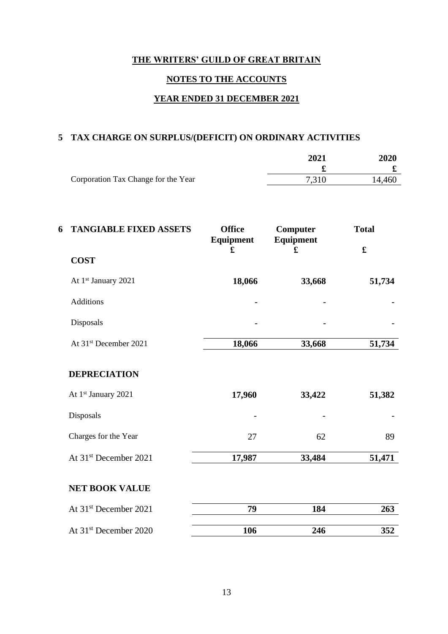# **NOTES TO THE ACCOUNTS**

# **YEAR ENDED 31 DECEMBER 2021**

# **5 TAX CHARGE ON SURPLUS/(DEFICIT) ON ORDINARY ACTIVITIES**

|                                     | 2021  | <b>2020</b> |
|-------------------------------------|-------|-------------|
|                                     |       |             |
| Corporation Tax Change for the Year | 7,310 | 14.460      |

| 6 | <b>TANGIABLE FIXED ASSETS</b>     | <b>Office</b><br>Equipment | Computer<br>Equipment | <b>Total</b> |
|---|-----------------------------------|----------------------------|-----------------------|--------------|
|   | <b>COST</b>                       | £                          | £                     | $\mathbf f$  |
|   | At 1st January 2021               | 18,066                     | 33,668                | 51,734       |
|   | <b>Additions</b>                  |                            | -                     |              |
|   | Disposals                         |                            |                       |              |
|   | At 31 <sup>st</sup> December 2021 | 18,066                     | 33,668                | 51,734       |
|   | <b>DEPRECIATION</b>               |                            |                       |              |
|   | At 1st January 2021               | 17,960                     | 33,422                | 51,382       |
|   | Disposals                         |                            |                       |              |
|   | Charges for the Year              | 27                         | 62                    | 89           |
|   | At 31 <sup>st</sup> December 2021 | 17,987                     | 33,484                | 51,471       |
|   | <b>NET BOOK VALUE</b>             |                            |                       |              |
|   | At 31 <sup>st</sup> December 2021 | 79                         | 184                   | 263          |
|   | At 31 <sup>st</sup> December 2020 | 106                        | 246                   | 352          |
|   |                                   |                            |                       |              |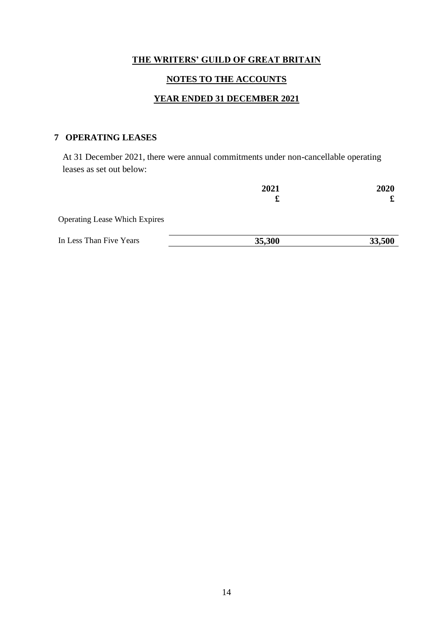# **NOTES TO THE ACCOUNTS**

# **YEAR ENDED 31 DECEMBER 2021**

# **7 OPERATING LEASES**

At 31 December 2021, there were annual commitments under non-cancellable operating leases as set out below:

|                                      | 2021<br>£ | 2020   |
|--------------------------------------|-----------|--------|
|                                      |           |        |
| <b>Operating Lease Which Expires</b> |           |        |
| In Less Than Five Years              | 35,300    | 33,500 |